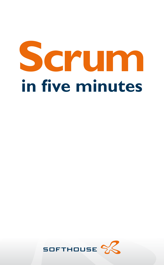# **Scrum in five minutes**

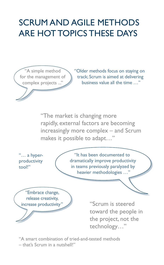## Scrum and agile methods are hot topics these days

"A simple method for the management of complex projects ..."

"Older methods focus on staying on track; Scrum is aimed at delivering business value all the time …"

"The market is changing more rapidly, external factors are becoming increasingly more complex – and Scrum makes it possible to adapt…"

"… a hyperproductivity tool!"

"It has been documented to dramatically improve productivity in teams previously paralyzed by heavier methodologies …"

"Embrace change, release creativity, increase productivity "

"Scrum is steered toward the people in the project, not the technology…"

"A smart combination of tried-and-tested methods – that's Scrum in a nutshell!"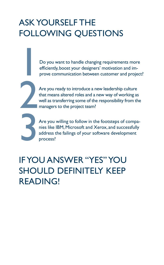## Ask yourself the following questions

Do you want to handle changing requirements more efficiently, boost your designers' motivation and improve communication between customer and project efficiently, boost your designers' motivation and improve communication between customer and project?

Are you ready to introduce a new leadership culture<br>that means altered roles and a new way of working as<br>well as transferring some of the responsibility from th<br>managers to the project team? that means altered roles and a new way of working as well as transferring some of the responsibility from the managers to the project team?

Are you willing to follow in the footsteps of companies like IBM, Microsoft and Xerox, and successfully address the failings of your software development process? nies like IBM, Microsoft and Xerox, and successfully address the failings of your software development process?

## If you answer "yes" you should definitely keep READING!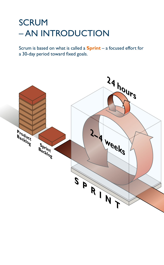## **SCRUM** – an introduction

Scrum is based on what is called a **Sprint** – a focused effort for a 30-day period toward fixed goals.

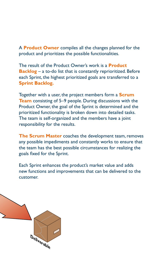A **Product Owner** compiles all the changes planned for the product and prioritizes the possible functionalities.

The result of the Product Owner's work is a **Product Backlog** – a to-do list that is constantly reprioritized. Before each Sprint, the highest prioritized goals are transferred to a **Sprint Backlog.**

Together with a user, the project members form a **Scrum Team** consisting of 5–9 people. During discussions with the Product Owner, the goal of the Sprint is determined and the prioritized functionality is broken down into detailed tasks. The team is self-organized and the members have a joint responsibility for the results.

**The Scrum Master** coaches the development team, removes any possible impediments and constantly works to ensure that the team has the best possible circumstances for realizing the goals fixed for the Sprint.

Each Sprint enhances the product's market value and adds new functions and improvements that can be delivered to the customer.

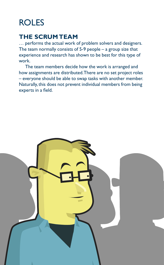## ROLES

### **The Scrum team**

… performs the actual work of problem solvers and designers. The team normally consists of  $5-9$  people – a group size that experience and research has shown to be best for this type of work.

 The team members decide how the work is arranged and how assignments are distributed. There are no set project roles – everyone should be able to swap tasks with another member. Naturally, this does not prevent individual members from being experts in a field.

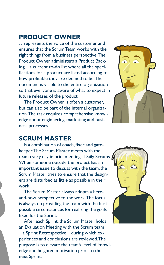#### **Product owner**

…represents the voice of the customer and ensures that the Scrum Team works with the right things from a business perspective. The Product Owner administers a Product Backlog – a current to-do list where all the specifications for a product are listed according to how profitable they are deemed to be. The document is visible to the entire organization so that everyone is aware of what to expect in future releases of the product.

The Product Owner is often a customer, but can also be part of the internal organization. The task requires comprehensive knowledge about engineering, marketing and business processes.



#### **Scrum master**

…is a combination of coach, fixer and gatekeeper. The Scrum Master meets with the team every day in brief meetings, Daily Scrums. When someone outside the project has an important issue to discuss with the team, the Scrum Master tries to ensure that the designers are disturbed as little as possible in their work.

The Scrum Master always adopts a hereand-now perspective to the work. The focus is always on providing the team with the best possible circumstances for realizing the goals fixed for the Sprint.

After each Sprint, the Scrum Master holds an Evaluation Meeting with the Scrum team – a Sprint Retrospective – during which experiences and conclusions are reviewed. The purpose is to elevate the team's level of knowledge and heighten motivation prior to the next Sprint.

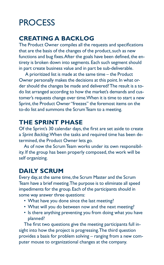## **PROCESS**

#### **Creating a backlog**

The Product Owner compiles all the requests and specifications that are the basis of the changes of the product, such as new functions and bug fixes. After the goals have been defined, the entirety is broken down into segments. Each such segment should in part create business value and in part be sub-deliverable.

 A prioritized list is made at the same time – the Product Owner personally makes the decisions at this point. In what order should the changes be made and delivered? The result is a todo list arranged according to how the market's demands and customer's requests change over time. When it is time to start a new Sprint, the Product Owner "freezes" the foremost items on the to-do list and summons the Scrum Team to a meeting.

#### **The sprint phase**

Of the Sprint's 30 calendar days, the first are set aside to create a *Sprint Backlog*. When the tasks and required time has been determined, the Product Owner lets go.

As of now the Scrum Team works under its own responsibility. If the group has been properly composed, the work will be self organizing.

#### **Daily Scrum**

Every day, at the same time, the Scrum Master and the Scrum Team have a brief meeting. The purpose is to eliminate all speed impediments for the group. Each of the participants should in some way answer three questions:

- What have you done since the last meeting?
- What will you do between now and the next meeting?
- Is there anything preventing you from doing what you have planned?

The first two questions give the meeting participants full insight into how the project is progressing. The third question provides a basis for problem solving – ranging from a new computer mouse to organizational changes at the company.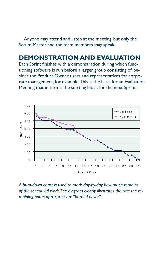Anyone may attend and listen at the meeting, but only the Scrum Master and the team members may speak.

#### **Demonstration and evaluation**

Each Sprint finishes with a demonstration during which functioning software is run before a larger group consisting of, besides the Product Owner, users and representatives for corporate management, for example. This is the basis for an Evaluation Meeting that in turn is the starting block for the next Sprint.



*A burn-down chart is used to mark day-by-day how much remains of the scheduled work. The diagram clearly illustrates the rate the remaining hours of a Sprint are "burned down".*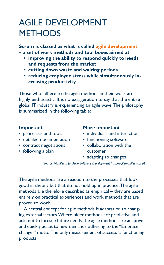## Agile development **METHODS**

**Scrum is classed as what is called agile development – a set of work methods and tool boxes aimed at** 

- **improving the ability to respond quickly to needs and requests from the market**
- **• cutting down waste and waiting periods**
- **reducing employee stress while simultaneously increasing productivity.**

Those who adhere to the agile methods in their work are highly enthusiastic. It is no exaggeration to say that the entire global IT industry is experiencing an agile wave. The philosophy is summarized in the following table:

- 
- detailed documentation functioning software
- 
- following a plan customer

#### **Important More important**

- processes and tools individuals and interaction
	-
- contract negotiations collaboration with the
	- adapting to changes

*(Source: Manifesto for Agile Software Development http://agilemanifesto.org/)*

The agile methods are a reaction to the processes that look good in theory but that do not hold up in practice. The agile methods are therefore described as empirical – they are based entirely on practical experiences and work methods that are proven to work.

A central concept for agile methods is adaptation to changing external factors. Where older methods are predictive and attempt to foresee future needs, the agile methods are adaptive and quickly adapt to new demands, adhering to the "Embrace change!" motto. The only measurement of success is functioning products.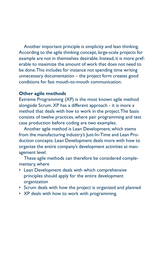Another important principle is simplicity and lean thinking. According to the agile thinking concept, large-scale projects for example are not in themselves desirable. Instead, it is more preferable to maximize the amount of work that does not need to be done. This includes for instance not spending time writing unnecessary documentation – the project form creates good conditions for fast mouth-to-mouth communication.

#### **Other agile methods**

Extreme Programming (XP) is the most known agile method alongside Scrum. XP has a different approach - it is more a method that deals with *how* to work in the project. The basis consists of twelve practices, where pair programming and test case production before coding are two examples.

Another agile method is Lean Development, which stems from the manufacturing industry's Just-In-Time and Lean Production concepts. Lean Development deals more with how to organize the entire company's development activities at management level.

These agile methods can therefore be considered complementary, where

- Lean Development deals with which comprehensive principles should apply for the entire development organization
- Scrum deals with how the project is organized and planned
- XP deals with how to work with programming.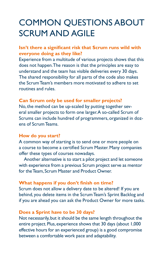## Common questions about SCRUM AND AGILE

#### **Isn't there a significant risk that Scrum runs wild with everyone doing as they like?**

Experience from a multitude of various projects shows that this does not happen. The reason is that the principles are easy to understand and the team has visible deliveries every 30 days. The shared responsibility for all parts of the code also makes the Scrum Team's members more motivated to adhere to set routines and rules.

#### **Can Scrum only be used for smaller projects?**

No, the method can be up-scaled by putting together several smaller projects to form one larger. A so-called Scrum of Scrums can include hundred of programmers, organized in dozens of Scrum Teams.

#### **How do you start?**

A common way of starting is to send one or more people on a course to become a certified Scrum Master. Many companies offer these types of courses nowadays.

Another alternative is to start a pilot project and let someone with experience from a previous Scrum project serve as mentor for the Team, Scrum Master and Product Owner.

#### **What happens if you don't finish on time?**

Scrum does not allow a delivery date to be altered! If you are behind, you delete items in the Scrum Team's Sprint Backlog and if you are ahead you can ask the Product Owner for more tasks.

#### **Does a Sprint have to be 30 days?**

Not necessarily, but it should be the same length throughout the entire project. Plus, experience shows that 30 days (about 1,000 effective hours for an experienced group) is a good compromise between a comfortable work pace and adaptability.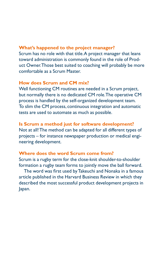#### **What's happened to the project manager?**

Scrum has no role with that title. A project manager that leans toward administration is commonly found in the role of Product Owner. Those best suited to coaching will probably be more comfortable as a Scrum Master.

#### **How does Scrum and CM mix?**

Well functioning CM routines are needed in a Scrum project, but normally there is no dedicated CM role. The operative CM process is handled by the self-organized development team. To slim the CM process, continuous integration and automatic tests are used to automate as much as possible.

#### **Is Scrum a method just for software development?**

Not at all! The method can be adapted for all different types of projects – for instance newspaper production or medical engineering development.

#### **Where does the word Scrum come from?**

Scrum is a rugby term for the close-knit shoulder-to-shoulder formation a rugby team forms to jointly move the ball forward.

The word was first used by Takeuchi and Nonaka in a famous article published in the Harvard Business Review in which they described the most successful product development projects in Japan.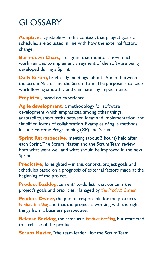## **GLOSSARY**

**Adaptive,** adjustable – in this context, that project goals or schedules are adjusted in line with how the external factors change.

**Burn-down Chart,** a diagram that monitors how much work remains to implement a segment of the software being developed during a Sprint.

**Daily Scrum,** brief, daily meetings (about 15 min) between the Scrum Master and the Scrum Team. The purpose is to keep work flowing smoothly and eliminate any impediments.

**Empirical,** based on experience.

**Agile development,** a methodology for software development which emphasizes, among other things, adaptability, short paths between ideas and implementation, and simplified forms of collaboration. Examples of agile methods include Extreme Programming (XP) and Scrum.

**Sprint Retrospective, meeting (about 3 hours) held after** each Sprint. The Scrum Master and the Scrum Team review both what went well and what should be improved in the next Sprint.

**Predictive,** foresighted – in this context, project goals and schedules based on a prognosis of external factors made at the beginning of the project.

**Product Backlog,** current "to-do list" that contains the project's goals and priorities. Managed by *the Product Owner*.

**Product Owner, the person responsible for the product's** *Product Backlog* and that the project is working with the right things from a business perspective.

**Release Backlog,** the same as a *Product Backlog*, but restricted to a release of the product.

**Scrum Master, "the team leader" for the Scrum Team.**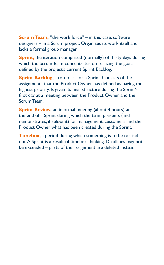**Scrum Team.** "the work force" – in this case, software designers – in a Scrum project. Organizes its work itself and lacks a formal group manager.

**Sprint,** the iteration comprised (normally) of thirty days during which the Scrum Team concentrates on realizing the goals defined by the project's current Sprint Backlog.

**Sprint Backlog, a to-do list for a Sprint. Consists of the** assignments that the Product Owner has defined as having the highest priority. Is given its final structure during the Sprint's first day at a meeting between the Product Owner and the Scrum Team.

**Sprint Review, an informal meeting (about 4 hours) at** the end of a Sprint during which the team presents (and demonstrates, if relevant) for management, customers and the Product Owner what has been created during the Sprint.

**Timebox,** a period during which something is to be carried out. A Sprint is a result of timebox thinking. Deadlines may not be exceeded – parts of the assignment are deleted instead.